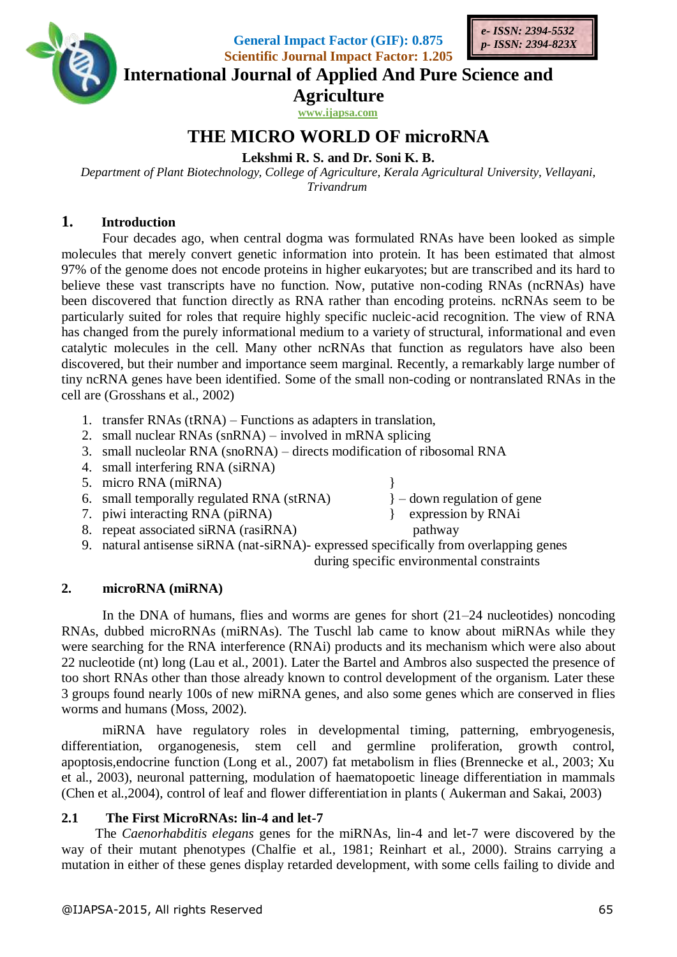

**General Impact Factor (GIF): 0.875 Scientific Journal Impact Factor: 1.205**



**International Journal of Applied And Pure Science and**

**Agriculture**

**www.ijapsa.com** 

# **THE MICRO WORLD OF microRNA**

### **Lekshmi R. S. and Dr. Soni K. B.**

*Department of Plant Biotechnology, College of Agriculture, Kerala Agricultural University, Vellayani, Trivandrum*

### **1. Introduction**

Four decades ago, when central dogma was formulated RNAs have been looked as simple molecules that merely convert genetic information into protein. It has been estimated that almost 97% of the genome does not encode proteins in higher eukaryotes; but are transcribed and its hard to believe these vast transcripts have no function. Now, putative non-coding RNAs (ncRNAs) have been discovered that function directly as RNA rather than encoding proteins. ncRNAs seem to be particularly suited for roles that require highly specific nucleic-acid recognition. The view of RNA has changed from the purely informational medium to a variety of structural, informational and even catalytic molecules in the cell. Many other ncRNAs that function as regulators have also been discovered, but their number and importance seem marginal. Recently, a remarkably large number of tiny ncRNA genes have been identified. Some of the small non-coding or nontranslated RNAs in the cell are (Grosshans et al., 2002)

- 1. transfer RNAs (tRNA) Functions as adapters in translation,
- 2. small nuclear RNAs (snRNA) involved in mRNA splicing
- 3. small nucleolar RNA (snoRNA) directs modification of ribosomal RNA
- 4. small interfering RNA (siRNA)
- 
- 5. micro RNA (miRNA)<br>
6. small temporally regulated RNA (stRNA)<br>  $\}$  down regulation of gene 6. small temporally regulated RNA (stRNA)
- 7. piwi interacting RNA (piRNA) } expression by RNAi
- 8. repeat associated siRNA (rasiRNA) pathway
- 9. natural antisense siRNA (nat-siRNA)- expressed specifically from overlapping genes during specific environmental constraints

### **2. microRNA (miRNA)**

In the DNA of humans, flies and worms are genes for short (21–24 nucleotides) noncoding RNAs, dubbed microRNAs (miRNAs). The Tuschl lab came to know about miRNAs while they were searching for the RNA interference (RNAi) products and its mechanism which were also about 22 nucleotide (nt) long (Lau et al., 2001). Later the Bartel and Ambros also suspected the presence of too short RNAs other than those already known to control development of the organism. Later these 3 groups found nearly 100s of new miRNA genes, and also some genes which are conserved in flies worms and humans (Moss, 2002).

miRNA have regulatory roles in developmental timing, patterning, embryogenesis, differentiation, organogenesis, stem cell and germline proliferation, growth control, apoptosis,endocrine function (Long et al., 2007) fat metabolism in flies (Brennecke et al., 2003; Xu et al., 2003), neuronal patterning, modulation of haematopoetic lineage differentiation in mammals (Chen et al.,2004), control of leaf and flower differentiation in plants ( Aukerman and Sakai, 2003)

### **2.1 The First MicroRNAs: lin-4 and let-7**

The *Caenorhabditis elegans* genes for the miRNAs, lin-4 and let-7 were discovered by the way of their mutant phenotypes (Chalfie et al., 1981; Reinhart et al., 2000). Strains carrying a mutation in either of these genes display retarded development, with some cells failing to divide and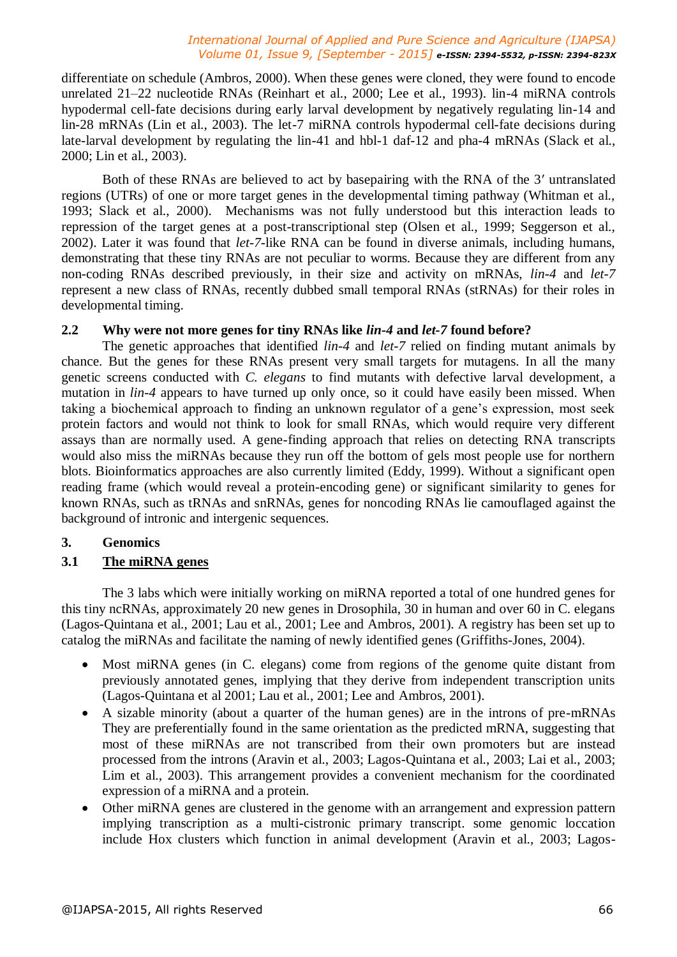differentiate on schedule (Ambros, 2000). When these genes were cloned, they were found to encode unrelated 21–22 nucleotide RNAs (Reinhart et al., 2000; Lee et al., 1993). lin-4 miRNA controls hypodermal cell-fate decisions during early larval development by negatively regulating lin-14 and lin-28 mRNAs (Lin et al., 2003). The let-7 miRNA controls hypodermal cell-fate decisions during late-larval development by regulating the lin-41 and hbl-1 daf-12 and pha-4 mRNAs (Slack et al., 2000; Lin et al., 2003).

Both of these RNAs are believed to act by basepairing with the RNA of the 3′ untranslated regions (UTRs) of one or more target genes in the developmental timing pathway (Whitman et al., 1993; Slack et al., 2000). Mechanisms was not fully understood but this interaction leads to repression of the target genes at a post-transcriptional step (Olsen et al., 1999; Seggerson et al., 2002). Later it was found that *let-7*-like RNA can be found in diverse animals, including humans, demonstrating that these tiny RNAs are not peculiar to worms. Because they are different from any non-coding RNAs described previously, in their size and activity on mRNAs, *lin-4* and *let-7*  represent a new class of RNAs, recently dubbed small temporal RNAs (stRNAs) for their roles in developmental timing.

#### **2.2 Why were not more genes for tiny RNAs like** *lin-4* **and** *let-7* **found before?**

The genetic approaches that identified *lin-4* and *let-7* relied on finding mutant animals by chance. But the genes for these RNAs present very small targets for mutagens. In all the many genetic screens conducted with *C. elegans* to find mutants with defective larval development, a mutation in *lin-4* appears to have turned up only once, so it could have easily been missed. When taking a biochemical approach to finding an unknown regulator of a gene's expression, most seek protein factors and would not think to look for small RNAs, which would require very different assays than are normally used. A gene-finding approach that relies on detecting RNA transcripts would also miss the miRNAs because they run off the bottom of gels most people use for northern blots. Bioinformatics approaches are also currently limited (Eddy, 1999). Without a significant open reading frame (which would reveal a protein-encoding gene) or significant similarity to genes for known RNAs, such as tRNAs and snRNAs, genes for noncoding RNAs lie camouflaged against the background of intronic and intergenic sequences.

### **3. Genomics**

### **3.1 The miRNA genes**

The 3 labs which were initially working on miRNA reported a total of one hundred genes for this tiny ncRNAs, approximately 20 new genes in Drosophila, 30 in human and over 60 in C. elegans (Lagos-Quintana et al., 2001; Lau et al., 2001; Lee and Ambros, 2001). A registry has been set up to catalog the miRNAs and facilitate the naming of newly identified genes (Griffiths-Jones, 2004).

- Most miRNA genes (in C. elegans) come from regions of the genome quite distant from previously annotated genes, implying that they derive from independent transcription units (Lagos-Quintana et al 2001; Lau et al., 2001; Lee and Ambros, 2001).
- A sizable minority (about a quarter of the human genes) are in the introns of pre-mRNAs They are preferentially found in the same orientation as the predicted mRNA, suggesting that most of these miRNAs are not transcribed from their own promoters but are instead processed from the introns (Aravin et al., 2003; Lagos-Quintana et al., 2003; Lai et al., 2003; Lim et al., 2003). This arrangement provides a convenient mechanism for the coordinated expression of a miRNA and a protein.
- Other miRNA genes are clustered in the genome with an arrangement and expression pattern implying transcription as a multi-cistronic primary transcript. some genomic loccation include Hox clusters which function in animal development (Aravin et al., 2003; Lagos-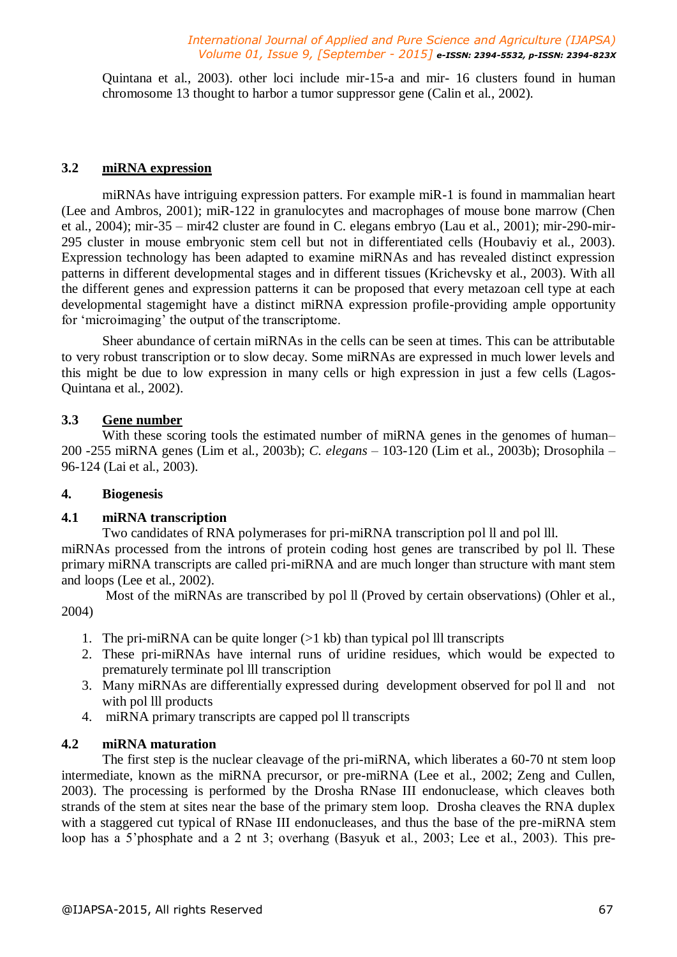Quintana et al., 2003). other loci include mir-15-a and mir- 16 clusters found in human chromosome 13 thought to harbor a tumor suppressor gene (Calin et al., 2002).

#### **3.2 miRNA expression**

miRNAs have intriguing expression patters. For example miR-1 is found in mammalian heart (Lee and Ambros, 2001); miR-122 in granulocytes and macrophages of mouse bone marrow (Chen et al., 2004); mir-35 – mir42 cluster are found in C. elegans embryo (Lau et al., 2001); mir-290-mir-295 cluster in mouse embryonic stem cell but not in differentiated cells (Houbaviy et al., 2003). Expression technology has been adapted to examine miRNAs and has revealed distinct expression patterns in different developmental stages and in different tissues (Krichevsky et al., 2003). With all the different genes and expression patterns it can be proposed that every metazoan cell type at each developmental stagemight have a distinct miRNA expression profile-providing ample opportunity for 'microimaging' the output of the transcriptome.

Sheer abundance of certain miRNAs in the cells can be seen at times. This can be attributable to very robust transcription or to slow decay. Some miRNAs are expressed in much lower levels and this might be due to low expression in many cells or high expression in just a few cells (Lagos-Quintana et al., 2002).

#### **3.3 Gene number**

With these scoring tools the estimated number of miRNA genes in the genomes of human– 200 -255 miRNA genes (Lim et al., 2003b); *C. elegans* – 103-120 (Lim et al., 2003b); Drosophila – 96-124 (Lai et al., 2003).

#### **4. Biogenesis**

#### **4.1 miRNA transcription**

Two candidates of RNA polymerases for pri-miRNA transcription pol ll and pol lll.

miRNAs processed from the introns of protein coding host genes are transcribed by pol ll. These primary miRNA transcripts are called pri-miRNA and are much longer than structure with mant stem and loops (Lee et al., 2002).

Most of the miRNAs are transcribed by pol ll (Proved by certain observations) (Ohler et al., 2004)

- 1. The pri-miRNA can be quite longer  $(>1 \text{ kb})$  than typical pol lll transcripts
- 2. These pri-miRNAs have internal runs of uridine residues, which would be expected to prematurely terminate pol lll transcription
- 3. Many miRNAs are differentially expressed during development observed for pol ll and not with pol III products
- 4. miRNA primary transcripts are capped pol ll transcripts

#### **4.2 miRNA maturation**

The first step is the nuclear cleavage of the pri-miRNA, which liberates a 60-70 nt stem loop intermediate, known as the miRNA precursor, or pre-miRNA (Lee et al., 2002; Zeng and Cullen, 2003). The processing is performed by the Drosha RNase III endonuclease, which cleaves both strands of the stem at sites near the base of the primary stem loop. Drosha cleaves the RNA duplex with a staggered cut typical of RNase III endonucleases, and thus the base of the pre-miRNA stem loop has a 5'phosphate and a 2 nt 3; overhang (Basyuk et al., 2003; Lee et al., 2003). This pre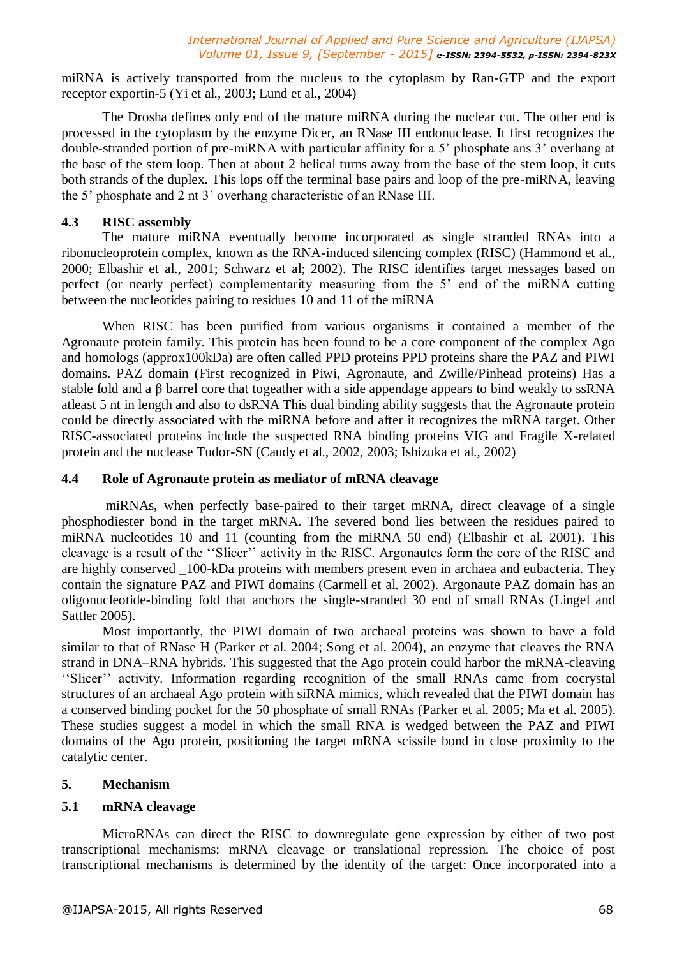miRNA is actively transported from the nucleus to the cytoplasm by Ran-GTP and the export receptor exportin-5 (Yi et al., 2003; Lund et al., 2004)

The Drosha defines only end of the mature miRNA during the nuclear cut. The other end is processed in the cytoplasm by the enzyme Dicer, an RNase III endonuclease. It first recognizes the double-stranded portion of pre-miRNA with particular affinity for a 5' phosphate ans 3' overhang at the base of the stem loop. Then at about 2 helical turns away from the base of the stem loop, it cuts both strands of the duplex. This lops off the terminal base pairs and loop of the pre-miRNA, leaving the 5' phosphate and 2 nt 3' overhang characteristic of an RNase III.

#### **4.3 RISC assembly**

The mature miRNA eventually become incorporated as single stranded RNAs into a ribonucleoprotein complex, known as the RNA-induced silencing complex (RISC) (Hammond et al., 2000; Elbashir et al., 2001; Schwarz et al; 2002). The RISC identifies target messages based on perfect (or nearly perfect) complementarity measuring from the 5' end of the miRNA cutting between the nucleotides pairing to residues 10 and 11 of the miRNA

When RISC has been purified from various organisms it contained a member of the Agronaute protein family. This protein has been found to be a core component of the complex Ago and homologs (approx100kDa) are often called PPD proteins PPD proteins share the PAZ and PIWI domains. PAZ domain (First recognized in Piwi, Agronaute, and Zwille/Pinhead proteins) Has a stable fold and a β barrel core that togeather with a side appendage appears to bind weakly to ssRNA atleast 5 nt in length and also to dsRNA This dual binding ability suggests that the Agronaute protein could be directly associated with the miRNA before and after it recognizes the mRNA target. Other RISC-associated proteins include the suspected RNA binding proteins VIG and Fragile X-related protein and the nuclease Tudor-SN (Caudy et al., 2002, 2003; Ishizuka et al., 2002)

#### **4.4 Role of Agronaute protein as mediator of mRNA cleavage**

miRNAs, when perfectly base-paired to their target mRNA, direct cleavage of a single phosphodiester bond in the target mRNA. The severed bond lies between the residues paired to miRNA nucleotides 10 and 11 (counting from the miRNA 50 end) (Elbashir et al. 2001). This cleavage is a result of the ''Slicer'' activity in the RISC. Argonautes form the core of the RISC and are highly conserved \_100-kDa proteins with members present even in archaea and eubacteria. They contain the signature PAZ and PIWI domains (Carmell et al. 2002). Argonaute PAZ domain has an oligonucleotide-binding fold that anchors the single-stranded 30 end of small RNAs (Lingel and Sattler 2005).

Most importantly, the PIWI domain of two archaeal proteins was shown to have a fold similar to that of RNase H (Parker et al. 2004; Song et al. 2004), an enzyme that cleaves the RNA strand in DNA–RNA hybrids. This suggested that the Ago protein could harbor the mRNA-cleaving ''Slicer'' activity. Information regarding recognition of the small RNAs came from cocrystal structures of an archaeal Ago protein with siRNA mimics, which revealed that the PIWI domain has a conserved binding pocket for the 50 phosphate of small RNAs (Parker et al. 2005; Ma et al. 2005). These studies suggest a model in which the small RNA is wedged between the PAZ and PIWI domains of the Ago protein, positioning the target mRNA scissile bond in close proximity to the catalytic center.

### **5. Mechanism**

### **5.1 mRNA cleavage**

MicroRNAs can direct the RISC to downregulate gene expression by either of two post transcriptional mechanisms: mRNA cleavage or translational repression. The choice of post transcriptional mechanisms is determined by the identity of the target: Once incorporated into a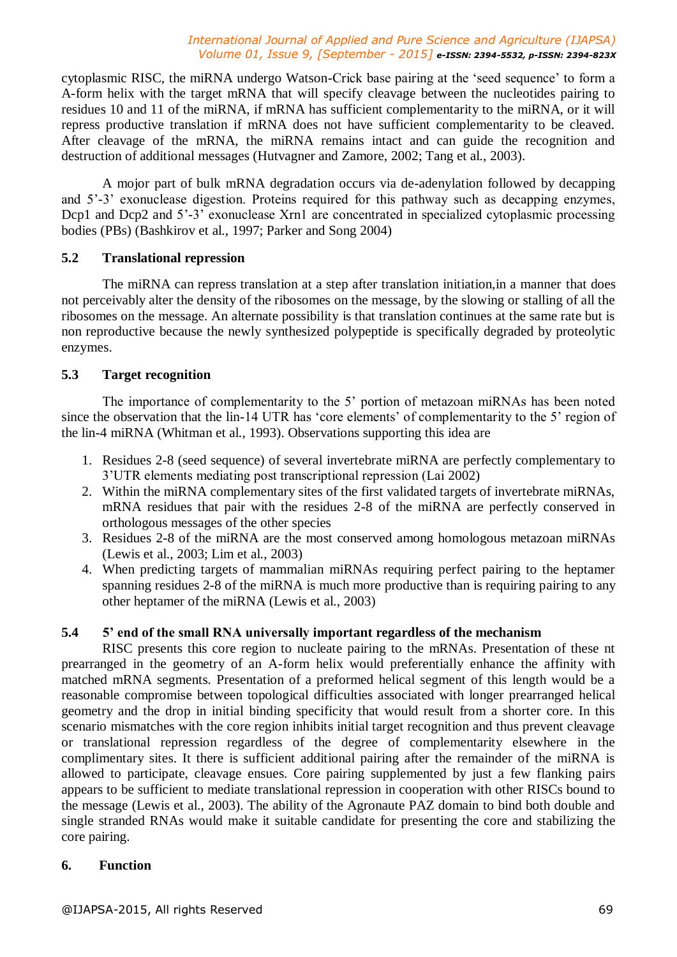cytoplasmic RISC, the miRNA undergo Watson-Crick base pairing at the 'seed sequence' to form a A-form helix with the target mRNA that will specify cleavage between the nucleotides pairing to residues 10 and 11 of the miRNA, if mRNA has sufficient complementarity to the miRNA, or it will repress productive translation if mRNA does not have sufficient complementarity to be cleaved. After cleavage of the mRNA, the miRNA remains intact and can guide the recognition and destruction of additional messages (Hutvagner and Zamore, 2002; Tang et al., 2003).

A mojor part of bulk mRNA degradation occurs via de-adenylation followed by decapping and 5'-3' exonuclease digestion. Proteins required for this pathway such as decapping enzymes, Dcp1 and Dcp2 and 5'-3' exonuclease Xrn1 are concentrated in specialized cytoplasmic processing bodies (PBs) (Bashkirov et al., 1997; Parker and Song 2004)

#### **5.2 Translational repression**

The miRNA can repress translation at a step after translation initiation,in a manner that does not perceivably alter the density of the ribosomes on the message, by the slowing or stalling of all the ribosomes on the message. An alternate possibility is that translation continues at the same rate but is non reproductive because the newly synthesized polypeptide is specifically degraded by proteolytic enzymes.

#### **5.3 Target recognition**

The importance of complementarity to the 5' portion of metazoan miRNAs has been noted since the observation that the lin-14 UTR has 'core elements' of complementarity to the 5' region of the lin-4 miRNA (Whitman et al., 1993). Observations supporting this idea are

- 1. Residues 2-8 (seed sequence) of several invertebrate miRNA are perfectly complementary to 3'UTR elements mediating post transcriptional repression (Lai 2002)
- 2. Within the miRNA complementary sites of the first validated targets of invertebrate miRNAs, mRNA residues that pair with the residues 2-8 of the miRNA are perfectly conserved in orthologous messages of the other species
- 3. Residues 2-8 of the miRNA are the most conserved among homologous metazoan miRNAs (Lewis et al., 2003; Lim et al., 2003)
- 4. When predicting targets of mammalian miRNAs requiring perfect pairing to the heptamer spanning residues 2-8 of the miRNA is much more productive than is requiring pairing to any other heptamer of the miRNA (Lewis et al., 2003)

## **5.4 5' end of the small RNA universally important regardless of the mechanism**

RISC presents this core region to nucleate pairing to the mRNAs. Presentation of these nt prearranged in the geometry of an A-form helix would preferentially enhance the affinity with matched mRNA segments. Presentation of a preformed helical segment of this length would be a reasonable compromise between topological difficulties associated with longer prearranged helical geometry and the drop in initial binding specificity that would result from a shorter core. In this scenario mismatches with the core region inhibits initial target recognition and thus prevent cleavage or translational repression regardless of the degree of complementarity elsewhere in the complimentary sites. It there is sufficient additional pairing after the remainder of the miRNA is allowed to participate, cleavage ensues. Core pairing supplemented by just a few flanking pairs appears to be sufficient to mediate translational repression in cooperation with other RISCs bound to the message (Lewis et al., 2003). The ability of the Agronaute PAZ domain to bind both double and single stranded RNAs would make it suitable candidate for presenting the core and stabilizing the core pairing.

#### **6. Function**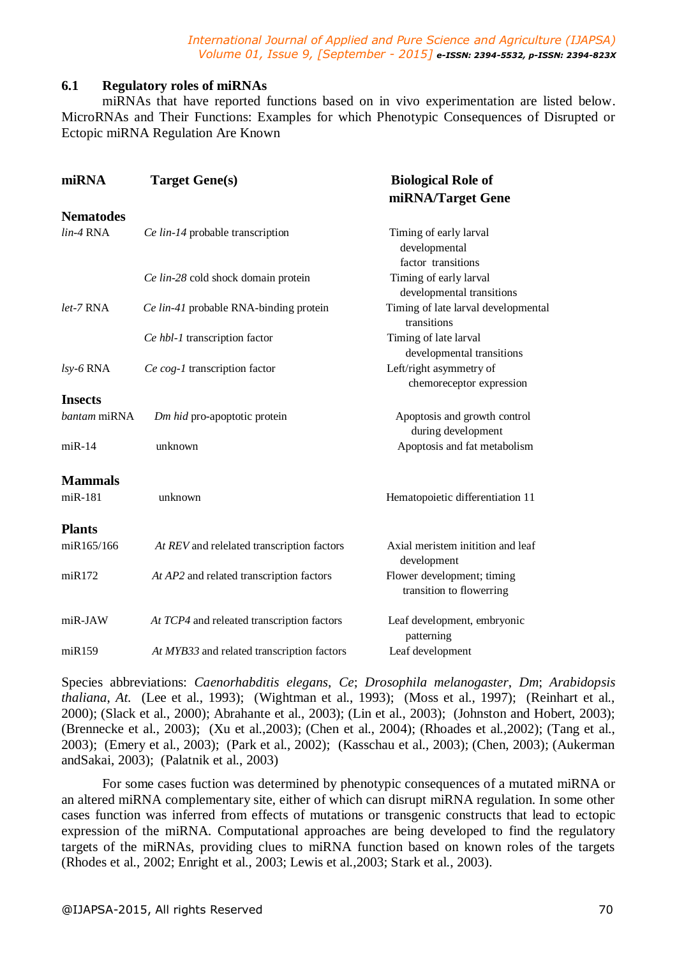#### **6.1 Regulatory roles of miRNAs**

miRNAs that have reported functions based on in vivo experimentation are listed below. MicroRNAs and Their Functions: Examples for which Phenotypic Consequences of Disrupted or Ectopic miRNA Regulation Are Known

| miRNA          | <b>Target Gene(s)</b>                      | <b>Biological Role of</b><br>miRNA/Target Gene                |
|----------------|--------------------------------------------|---------------------------------------------------------------|
|                |                                            |                                                               |
| $lin-4$ RNA    | Ce lin-14 probable transcription           | Timing of early larval<br>developmental<br>factor transitions |
|                | Ce lin-28 cold shock domain protein        | Timing of early larval<br>developmental transitions           |
| let-7 RNA      | Ce lin-41 probable RNA-binding protein     | Timing of late larval developmental<br>transitions            |
|                | Ce hbl-1 transcription factor              | Timing of late larval<br>developmental transitions            |
| $lsv-6$ RNA    | Ce cog-1 transcription factor              | Left/right asymmetry of<br>chemoreceptor expression           |
| <b>Insects</b> |                                            |                                                               |
| bantam miRNA   | Dm hid pro-apoptotic protein               | Apoptosis and growth control<br>during development            |
| $miR-14$       | unknown                                    | Apoptosis and fat metabolism                                  |
| <b>Mammals</b> |                                            |                                                               |
| miR-181        | unknown                                    | Hematopoietic differentiation 11                              |
| <b>Plants</b>  |                                            |                                                               |
| miR165/166     | At REV and relelated transcription factors | Axial meristem initition and leaf<br>development              |
| miR172         | At AP2 and related transcription factors   | Flower development; timing<br>transition to flowerring        |
| miR-JAW        | At TCP4 and releated transcription factors | Leaf development, embryonic<br>patterning                     |
| miR159         | At MYB33 and related transcription factors | Leaf development                                              |

Species abbreviations: *Caenorhabditis elegans*, *Ce*; *Drosophila melanogaster*, *Dm*; *Arabidopsis thaliana*, *At*. (Lee et al., 1993); (Wightman et al., 1993); (Moss et al., 1997); (Reinhart et al., 2000); (Slack et al., 2000); Abrahante et al., 2003); (Lin et al., 2003); (Johnston and Hobert, 2003); (Brennecke et al., 2003); (Xu et al.,2003); (Chen et al., 2004); (Rhoades et al.,2002); (Tang et al., 2003); (Emery et al., 2003); (Park et al., 2002); (Kasschau et al., 2003); (Chen, 2003); (Aukerman andSakai, 2003); (Palatnik et al., 2003)

For some cases fuction was determined by phenotypic consequences of a mutated miRNA or an altered miRNA complementary site, either of which can disrupt miRNA regulation. In some other cases function was inferred from effects of mutations or transgenic constructs that lead to ectopic expression of the miRNA. Computational approaches are being developed to find the regulatory targets of the miRNAs, providing clues to miRNA function based on known roles of the targets (Rhodes et al., 2002; Enright et al., 2003; Lewis et al.,2003; Stark et al., 2003).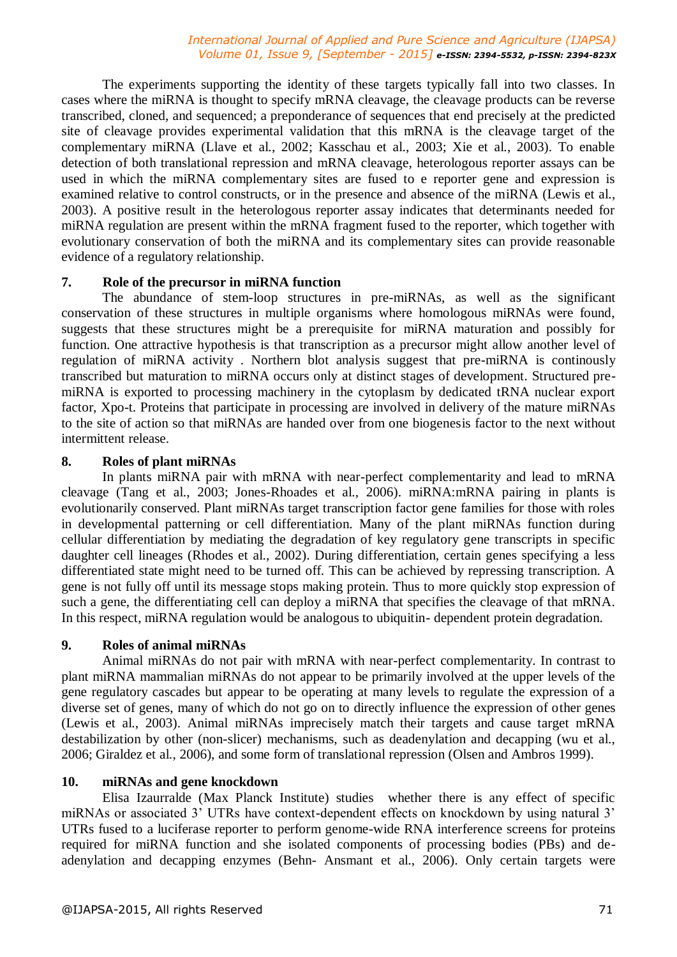The experiments supporting the identity of these targets typically fall into two classes. In cases where the miRNA is thought to specify mRNA cleavage, the cleavage products can be reverse transcribed, cloned, and sequenced; a preponderance of sequences that end precisely at the predicted site of cleavage provides experimental validation that this mRNA is the cleavage target of the complementary miRNA (Llave et al., 2002; Kasschau et al., 2003; Xie et al., 2003). To enable detection of both translational repression and mRNA cleavage, heterologous reporter assays can be used in which the miRNA complementary sites are fused to e reporter gene and expression is examined relative to control constructs, or in the presence and absence of the miRNA (Lewis et al., 2003). A positive result in the heterologous reporter assay indicates that determinants needed for miRNA regulation are present within the mRNA fragment fused to the reporter, which together with evolutionary conservation of both the miRNA and its complementary sites can provide reasonable evidence of a regulatory relationship.

#### **7. Role of the precursor in miRNA function**

The abundance of stem-loop structures in pre-miRNAs, as well as the significant conservation of these structures in multiple organisms where homologous miRNAs were found, suggests that these structures might be a prerequisite for miRNA maturation and possibly for function. One attractive hypothesis is that transcription as a precursor might allow another level of regulation of miRNA activity . Northern blot analysis suggest that pre-miRNA is continously transcribed but maturation to miRNA occurs only at distinct stages of development. Structured premiRNA is exported to processing machinery in the cytoplasm by dedicated tRNA nuclear export factor, Xpo-t. Proteins that participate in processing are involved in delivery of the mature miRNAs to the site of action so that miRNAs are handed over from one biogenesis factor to the next without intermittent release.

#### **8. Roles of plant miRNAs**

In plants miRNA pair with mRNA with near-perfect complementarity and lead to mRNA cleavage (Tang et al., 2003; Jones-Rhoades et al., 2006). miRNA:mRNA pairing in plants is evolutionarily conserved. Plant miRNAs target transcription factor gene families for those with roles in developmental patterning or cell differentiation. Many of the plant miRNAs function during cellular differentiation by mediating the degradation of key regulatory gene transcripts in specific daughter cell lineages (Rhodes et al., 2002). During differentiation, certain genes specifying a less differentiated state might need to be turned off. This can be achieved by repressing transcription. A gene is not fully off until its message stops making protein. Thus to more quickly stop expression of such a gene, the differentiating cell can deploy a miRNA that specifies the cleavage of that mRNA. In this respect, miRNA regulation would be analogous to ubiquitin- dependent protein degradation.

#### **9. Roles of animal miRNAs**

Animal miRNAs do not pair with mRNA with near-perfect complementarity. In contrast to plant miRNA mammalian miRNAs do not appear to be primarily involved at the upper levels of the gene regulatory cascades but appear to be operating at many levels to regulate the expression of a diverse set of genes, many of which do not go on to directly influence the expression of other genes (Lewis et al., 2003). Animal miRNAs imprecisely match their targets and cause target mRNA destabilization by other (non-slicer) mechanisms, such as deadenylation and decapping (wu et al., 2006; Giraldez et al., 2006), and some form of translational repression (Olsen and Ambros 1999).

#### **10. miRNAs and gene knockdown**

Elisa Izaurralde (Max Planck Institute) studies whether there is any effect of specific miRNAs or associated 3' UTRs have context-dependent effects on knockdown by using natural 3' UTRs fused to a luciferase reporter to perform genome-wide RNA interference screens for proteins required for miRNA function and she isolated components of processing bodies (PBs) and deadenylation and decapping enzymes (Behn- Ansmant et al., 2006). Only certain targets were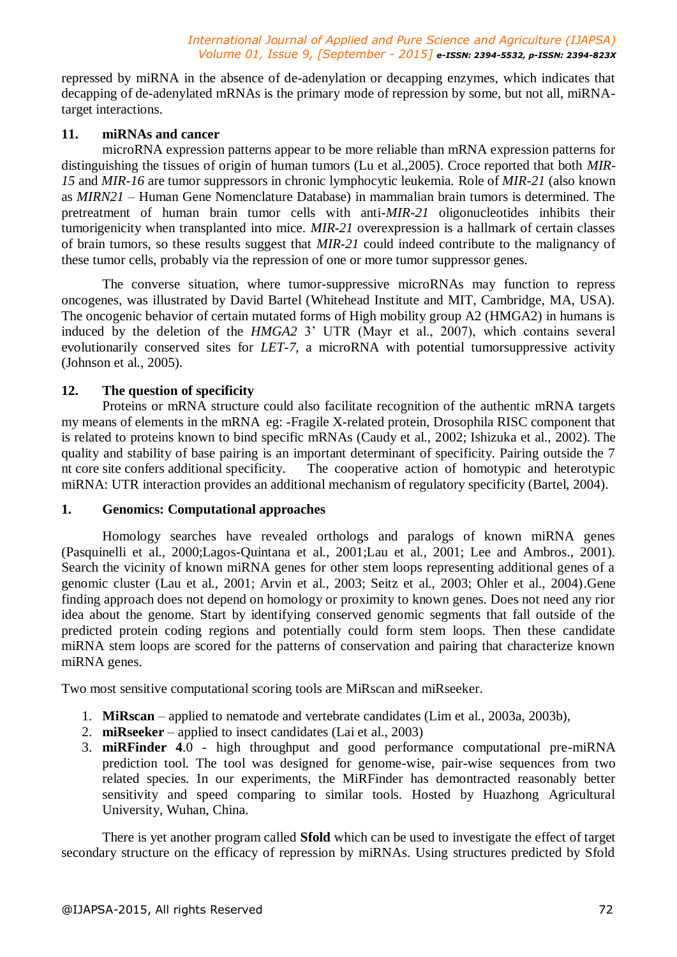repressed by miRNA in the absence of de-adenylation or decapping enzymes, which indicates that decapping of de-adenylated mRNAs is the primary mode of repression by some, but not all, miRNAtarget interactions.

#### **11. miRNAs and cancer**

microRNA expression patterns appear to be more reliable than mRNA expression patterns for distinguishing the tissues of origin of human tumors (Lu et al.,2005). Croce reported that both *MIR-15* and *MIR-16* are tumor suppressors in chronic lymphocytic leukemia. Role of *MIR-21* (also known as *MIRN21* – Human Gene Nomenclature Database) in mammalian brain tumors is determined. The pretreatment of human brain tumor cells with anti-*MIR-21* oligonucleotides inhibits their tumorigenicity when transplanted into mice. *MIR-21* overexpression is a hallmark of certain classes of brain tumors, so these results suggest that *MIR-21* could indeed contribute to the malignancy of these tumor cells, probably via the repression of one or more tumor suppressor genes.

The converse situation, where tumor-suppressive microRNAs may function to repress oncogenes, was illustrated by David Bartel (Whitehead Institute and MIT, Cambridge, MA, USA). The oncogenic behavior of certain mutated forms of High mobility group A2 (HMGA2) in humans is induced by the deletion of the *HMGA2 3'* UTR (Mayr et al., 2007), which contains several evolutionarily conserved sites for *LET-7*, a microRNA with potential tumorsuppressive activity (Johnson et al., 2005).

#### **12. The question of specificity**

Proteins or mRNA structure could also facilitate recognition of the authentic mRNA targets my means of elements in the mRNA eg: -Fragile X-related protein, Drosophila RISC component that is related to proteins known to bind specific mRNAs (Caudy et al., 2002; Ishizuka et al., 2002). The quality and stability of base pairing is an important determinant of specificity. Pairing outside the 7 nt core site confers additional specificity. The cooperative action of homotypic and heterotypic miRNA: UTR interaction provides an additional mechanism of regulatory specificity (Bartel, 2004).

#### **1. Genomics: Computational approaches**

Homology searches have revealed orthologs and paralogs of known miRNA genes (Pasquinelli et al., 2000;Lagos-Quintana et al., 2001;Lau et al., 2001; Lee and Ambros., 2001). Search the vicinity of known miRNA genes for other stem loops representing additional genes of a genomic cluster (Lau et al., 2001; Arvin et al., 2003; Seitz et al., 2003; Ohler et al., 2004).Gene finding approach does not depend on homology or proximity to known genes. Does not need any rior idea about the genome. Start by identifying conserved genomic segments that fall outside of the predicted protein coding regions and potentially could form stem loops. Then these candidate miRNA stem loops are scored for the patterns of conservation and pairing that characterize known miRNA genes.

Two most sensitive computational scoring tools are MiRscan and miRseeker.

- 1. **MiRscan**  applied to nematode and vertebrate candidates (Lim et al., 2003a, 2003b),
- 2. **miRseeker** applied to insect candidates (Lai et al., 2003)
- 3. **miRFinder 4**.0 high throughput and good performance computational pre-miRNA prediction tool. The tool was designed for genome-wise, pair-wise sequences from two related species. In our experiments, the MiRFinder has demontracted reasonably better sensitivity and speed comparing to similar tools. Hosted by Huazhong Agricultural University, Wuhan, China.

There is yet another program called **Sfold** which can be used to investigate the effect of target secondary structure on the efficacy of repression by miRNAs. Using structures predicted by Sfold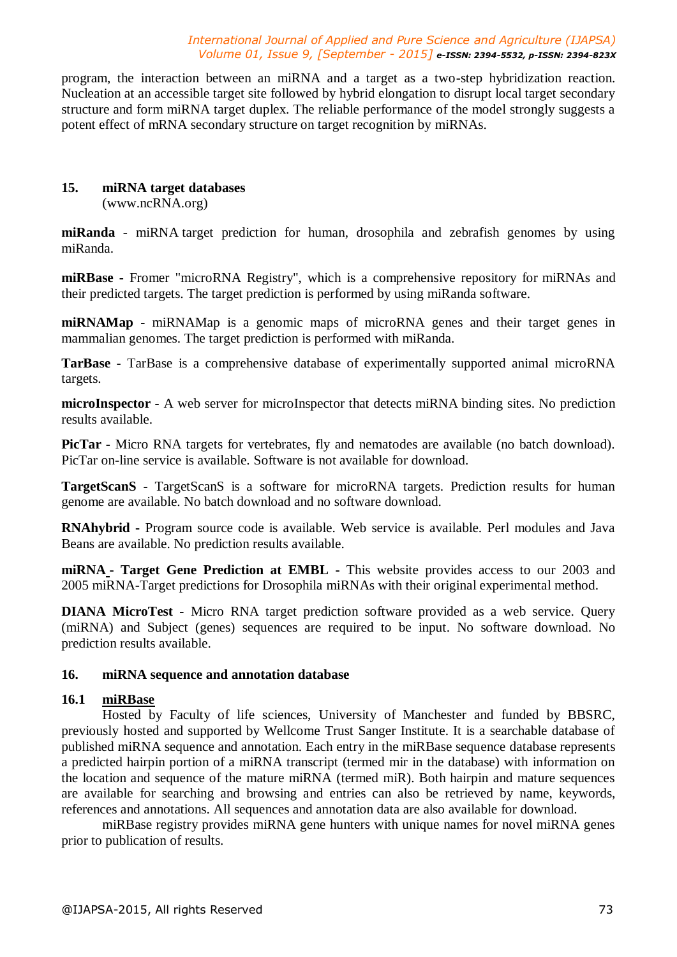program, the interaction between an miRNA and a target as a two-step hybridization reaction. Nucleation at an accessible target site followed by hybrid elongation to disrupt local target secondary structure and form miRNA target duplex. The reliable performance of the model strongly suggests a potent effect of mRNA secondary structure on target recognition by miRNAs.

#### **15. miRNA target databases**

(www.ncRNA.org)

**miRanda** - miRNA target prediction for human, drosophila and zebrafish genomes by using miRanda.

**miRBase -** Fromer "microRNA Registry", which is a comprehensive repository for miRNAs and their predicted targets. The target prediction is performed by using miRanda software.

**miRNAMap -** miRNAMap is a genomic maps of microRNA genes and their target genes in mammalian genomes. The target prediction is performed with miRanda.

**TarBase -** TarBase is a comprehensive database of experimentally supported animal microRNA targets.

**microInspector -** A web server for microInspector that detects miRNA binding sites. No prediction results available.

**PicTar -** Micro RNA targets for vertebrates, fly and nematodes are available (no batch download). PicTar on-line service is available. Software is not available for download.

**TargetScanS -** TargetScanS is a software for microRNA targets. Prediction results for human genome are available. No batch download and no software download.

**RNAhybrid -** Program source code is available. Web service is available. Perl modules and Java Beans are available. No prediction results available.

**miRNA - Target Gene Prediction at EMBL -** This website provides access to our 2003 and 2005 miRNA-Target predictions for Drosophila miRNAs with their original experimental method.

**DIANA MicroTest -** Micro RNA target prediction software provided as a web service. Query (miRNA) and Subject (genes) sequences are required to be input. No software download. No prediction results available.

#### **16. miRNA sequence and annotation database**

#### **16.1 miRBase**

Hosted by Faculty of life sciences, University of Manchester and funded by BBSRC, previously hosted and supported by Wellcome Trust Sanger Institute. It is a searchable database of published miRNA sequence and annotation. Each entry in the miRBase sequence database represents a predicted hairpin portion of a miRNA transcript (termed mir in the database) with information on the location and sequence of the mature miRNA (termed miR). Both hairpin and mature sequences are available for searching and browsing and entries can also be retrieved by name, keywords, references and annotations. All sequences and annotation data are also available for download.

miRBase registry provides miRNA gene hunters with unique names for novel miRNA genes prior to publication of results.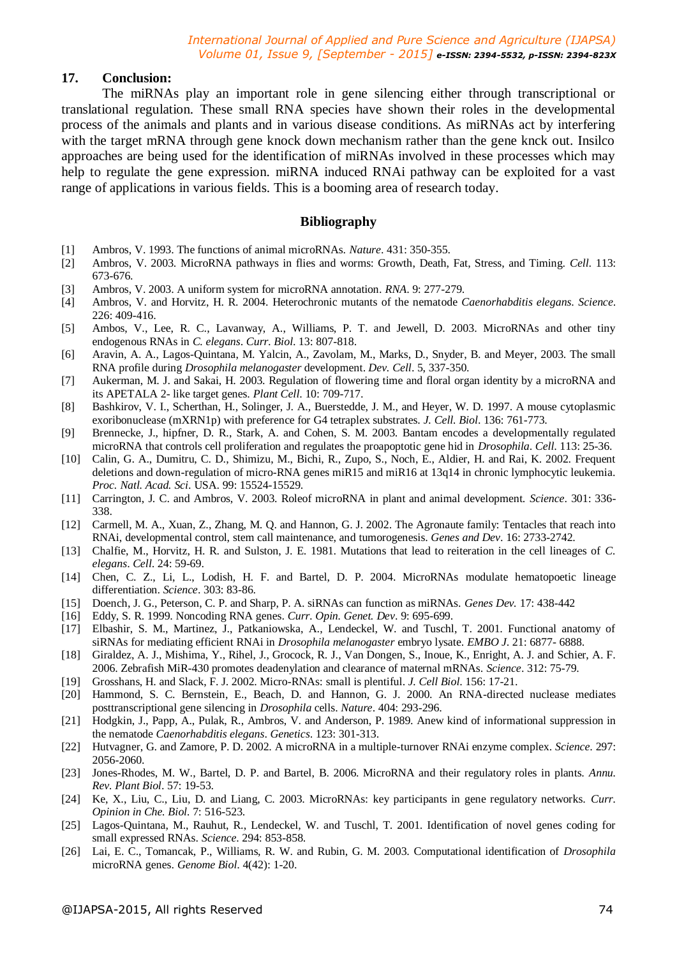#### **17. Conclusion:**

The miRNAs play an important role in gene silencing either through transcriptional or translational regulation. These small RNA species have shown their roles in the developmental process of the animals and plants and in various disease conditions. As miRNAs act by interfering with the target mRNA through gene knock down mechanism rather than the gene knck out. Insilco approaches are being used for the identification of miRNAs involved in these processes which may help to regulate the gene expression. miRNA induced RNAi pathway can be exploited for a vast range of applications in various fields. This is a booming area of research today.

#### **Bibliography**

- [1] Ambros, V. 1993. The functions of animal microRNAs. *Nature*. 431: 350-355.
- [2] Ambros, V. 2003. MicroRNA pathways in flies and worms: Growth, Death, Fat, Stress, and Timing. *Cell*. 113: 673-676.
- [3] Ambros, V. 2003. A uniform system for microRNA annotation. *RNA*. 9: 277-279.
- [4] Ambros, V. and Horvitz, H. R. 2004. Heterochronic mutants of the nematode *Caenorhabditis elegans*. *Science*. 226: 409-416.
- [5] Ambos, V., Lee, R. C., Lavanway, A., Williams, P. T. and Jewell, D. 2003. MicroRNAs and other tiny endogenous RNAs in *C. elegans*. *Curr. Biol*. 13: 807-818.
- [6] Aravin, A. A., Lagos-Quintana, M. Yalcin, A., Zavolam, M., Marks, D., Snyder, B. and Meyer, 2003. The small RNA profile during *Drosophila melanogaster* development. *Dev. Cell*. 5, 337-350.
- [7] Aukerman, M. J. and Sakai, H. 2003. Regulation of flowering time and floral organ identity by a microRNA and its APETALA 2- like target genes. *Plant Cell*. 10: 709-717.
- [8] Bashkirov, V. I., Scherthan, H., Solinger, J. A., Buerstedde, J. M., and Heyer, W. D. 1997. A mouse cytoplasmic exoribonuclease (mXRN1p) with preference for G4 tetraplex substrates. *J. Cell. Biol*. 136: 761-773.
- [9] Brennecke, J., hipfner, D. R., Stark, A. and Cohen, S. M. 2003. Bantam encodes a developmentally regulated microRNA that controls cell proliferation and regulates the proapoptotic gene hid in *Drosophila*. *Cell*. 113: 25-36.
- [10] Calin, G. A., Dumitru, C. D., Shimizu, M., Bichi, R., Zupo, S., Noch, E., Aldier, H. and Rai, K. 2002. Frequent deletions and down-regulation of micro-RNA genes miR15 and miR16 at 13q14 in chronic lymphocytic leukemia. *Proc. Natl. Acad. Sci*. USA. 99: 15524-15529.
- [11] Carrington, J. C. and Ambros, V. 2003. Roleof microRNA in plant and animal development. *Science*. 301: 336- 338.
- [12] Carmell, M. A., Xuan, Z., Zhang, M. Q. and Hannon, G. J. 2002. The Agronaute family: Tentacles that reach into RNAi, developmental control, stem call maintenance, and tumorogenesis. *Genes and Dev*. 16: 2733-2742.
- [13] Chalfie, M., Horvitz, H. R. and Sulston, J. E. 1981. Mutations that lead to reiteration in the cell lineages of *C. elegans*. *Cell*. 24: 59-69.
- [14] Chen, C. Z., Li, L., Lodish, H. F. and Bartel, D. P. 2004. MicroRNAs modulate hematopoetic lineage differentiation. *Science*. 303: 83-86.
- [15] Doench, J. G., Peterson, C. P. and Sharp, P. A. siRNAs can function as miRNAs. *Genes Dev.* 17: 438-442
- [16] Eddy, S. R. 1999. Noncoding RNA genes. *Curr. Opin. Genet. Dev*. 9: 695-699.
- [17] Elbashir, S. M., Martinez, J., Patkaniowska, A., Lendeckel, W. and Tuschl, T. 2001. Functional anatomy of siRNAs for mediating efficient RNAi in *Drosophila melanogaster* embryo lysate. *EMBO J*. 21: 6877- 6888.
- [18] Giraldez, A. J., Mishima, Y., Rihel, J., Grocock, R. J., Van Dongen, S., Inoue, K., Enright, A. J. and Schier, A. F. 2006. Zebrafish MiR-430 promotes deadenylation and clearance of maternal mRNAs. *Science*. 312: 75-79.
- [19] Grosshans, H. and Slack, F. J. 2002. Micro-RNAs: small is plentiful. *J. Cell Biol*. 156: 17-21.
- [20] Hammond, S. C. Bernstein, E., Beach, D. and Hannon, G. J. 2000. An RNA-directed nuclease mediates posttranscriptional gene silencing in *Drosophila* cells. *Nature*. 404: 293-296.
- [21] Hodgkin, J., Papp, A., Pulak, R., Ambros, V. and Anderson, P. 1989. Anew kind of informational suppression in the nematode *Caenorhabditis elegans*. *Genetics*. 123: 301-313.
- [22] Hutvagner, G. and Zamore, P. D. 2002. A microRNA in a multiple-turnover RNAi enzyme complex. *Science*. 297: 2056-2060.
- [23] Jones-Rhodes, M. W., Bartel, D. P. and Bartel, B. 2006. MicroRNA and their regulatory roles in plants. *Annu. Rev. Plant Biol*. 57: 19-53.
- [24] Ke, X., Liu, C., Liu, D. and Liang, C. 2003. MicroRNAs: key participants in gene regulatory networks. *Curr. Opinion in Che. Biol.* 7: 516-523.
- [25] Lagos-Quintana, M., Rauhut, R., Lendeckel, W. and Tuschl, T. 2001. Identification of novel genes coding for small expressed RNAs. *Science*. 294: 853-858.
- [26] Lai, E. C., Tomancak, P., Williams, R. W. and Rubin, G. M. 2003. Computational identification of *Drosophila* microRNA genes. *Genome Biol*. 4(42): 1-20.